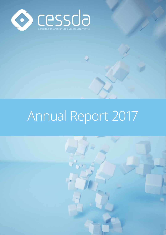

# Annual Report 2017

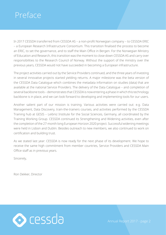### <span id="page-1-0"></span>Preface

In 2017 CESSDA transferred from CESSDA AS – a non-profit Norwegian company – to CESSDA ERIC – a European Research Infrastructure Consortium. This transition finalised the process to become an ERIC, to set the governance, and to staff the Main Office in Bergen. For the Norwegian Ministry of Education and Research, this transition was the moment to close down CESSDA AS and carry over responsibilities to the Research Council of Norway. Without the support of the ministry over the previous years, CESSDA would not have succeeded in becoming a European infrastructure.

The project activities carried out by the Service Providers continued, and the three years of investing in several innovative projects started yielding returns. A major milestone was the beta version of the CESSDA Data Catalogue which combines the metadata information on studies (data) that are available at the national Service Providers. The delivery of the Data Catalogue – and completion of several backbone tools – demonstrates that CESSDA is now entering a phase in which this technology backbone is in place, and we can look forward to developing and implementing tools for our users.

Another salient part of our mission is training. Various activities were carried out: e.g. Data Management, Data Discovery, train-the-trainers courses, and activities performed by the CESSDA Training hub at GESIS – Leibniz Institute for the Social Sciences, Germany, all coordinated by the Training Working Group. CESSDA continued its Strengthening and Widening activities, even after the completion of the 27-month long European Horizon 2020 project. Successful widening meetings were held in Lisbon and Dublin. Besides outreach to new members, we also continued to work on certification and building trust.

As we stated last year: CESSDA is now ready for the next phase of its development. We hope to receive the same high commitment from member countries, Service Providers and CESSDA Main Office staff as in previous years.

Sincerely,

Ron Dekker, Director

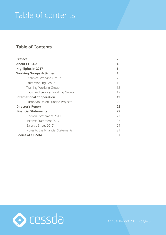# Table of contents

### **Table of Contents**

| Preface                           | 2  |
|-----------------------------------|----|
| <b>About CESSDA</b>               | 4  |
| Highlights in 2017                | 6  |
| <b>Working Groups Activities</b>  | 7  |
| <b>Technical Working Group</b>    |    |
| <b>Trust Working Group</b>        | 10 |
| <b>Training Working Group</b>     | 13 |
| Tools and Services Working Group  | 17 |
| <b>International Cooperation</b>  | 19 |
| European Union Funded Projects    | 20 |
| <b>Director's Report</b>          | 23 |
| <b>Financial Statements</b>       | 27 |
| Financial Statement 2017          | 27 |
| Income Statement 2017             | 28 |
| Balance Sheet 2017                | 29 |
| Notes to the Financial Statements | 31 |
| <b>Bodies of CESSDA</b>           | 37 |

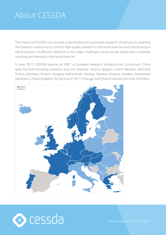### <span id="page-3-0"></span>About CESSDA

The mission of CESSDA is to provide a distributed and sustainable research infrastructure, enabling the research community to conduct high-quality research in the social sciences and contributing to the production of effective solutions to the major challenges facing society today and to facilitate teaching and learning in the social sciences.

In June 2017, CESSDA became an ERIC: a European Research Infrastructure Consortium. There were fourteen founding members and one observer: Austria, Belgium, Czech Republic, Denmark France, Germany, Greece, Hungary, Netherlands, Norway, Slovakia, Slovenia, Sweden, Switzerland (observer), United Kingdom. By the end of 2017, Portugal and Finland had also become members.



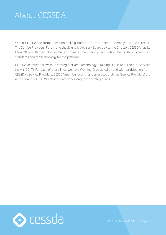### About CESSDA

Within CESSDA the formal decision-making bodies are the General Assembly and the Director. The Service Providers' Forum and the Scientific Advisory Board advise the Director. CESSDA has its Main Office in Bergen, Norway that coordinates membership, acquisition, the portfolio of services, standards and the technology for the platform.

CESSDA activities follow four strategic pillars: Technology, Training, Trust and Tools & Services (new in 2017). For each of these lines, we have Working Groups led by and with participation from CESSDA's Service Providers. CESSDA member countries' designated archives (Service Providers) are at the core of CESSDA's activities and work along these strategic lines.

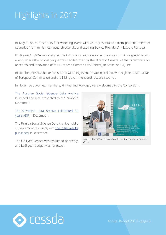# <span id="page-5-0"></span>Highlights in 2017

In May, CESSDA hosted its first widening event with 66 representatives from potential member countries (from ministries, research councils and aspiring Service Providers) in Lisbon, Portugal.

On 9 June, CESSDA was assigned the ERIC status and celebrated the occasion with a special launch event, where the official plaque was handed over by the Director General of the Directorate for Research and Innovation of the European Commission, Robert Jan-Smits, on 14 June.

In October, CESSDA hosted its second widening event in Dublin, Ireland, with high represen-tatives of European Commission and the Irish government and research council.

In November, two new members, Finland and Portugal, were welcomed to the Consortium.

[The Austrian Social Science Data Archive](https://aussda.at/en/news/news/aussda-is-introduced-to-the-public/) launched and was presented to the public in November.

[The Slovenian Data Archive celebrated 20](https://www.adp.fdv.uni-lj.si/dogodki/20years_adp/)  [years ADP](https://www.adp.fdv.uni-lj.si/dogodki/20years_adp/) in December.

The Finnish Social Science Data Archive held a survey among its users, with [the initial results](http://www.fsd.uta.fi/en/news/news17_36.html)  [published](http://www.fsd.uta.fi/en/news/news17_36.html) in December.

The UK Data Service was evaluated positively, and its 5-year budget was renewed.



Launch of AUSSDA, a new archive for Austria, Vienna, November 2017.

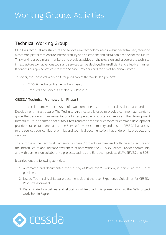### <span id="page-6-0"></span>Technical Working Group

CESSDA's technical infrastructure and services are technology intensive but decentralised, requiring a common platform to ensure interoperability and an efficient and sustainable model for the future. This working group plans, monitors and provides advice on the provision and usage of the technical infrastructure so that various tools and services can be deployed in an efficient and effective manner. It consists of representatives from ten Service Providers and the Chief Technical Officer.

This year, the Technical Working Group led two of the Work Plan projects:

- » CESSDA Technical Framework Phase 3;
- » Products and Services Catalogue Phase 2.

#### **CESSDA Technical Framework – Phase 3**

The Technical Framework consists of two components, the Technical Architecture and the Development Infrastructure. The Technical Architecture is used to provide common standards to guide the design and implementation of interoperable products and services. The Development Infrastructure is a common set of tools, tests and code repositories to foster common development practices, raise standards across the Service Provider community and ensure CESSDA has access to the source code, configuration files and technical documentation that underpin its products and services.

The purpose of the 'Technical Framework – Phase 3' project was to extend both the architecture and the infrastructure and increase awareness of both within the CESSDA Service Provider community and with partners on collaborative projects, such as the European projects (SaW, SERISS and BDE).

It carried out the following activities:

- 1. Automated and documented the 'Testing of Production' workflow, in particular, the use of pipelines.
- 2. Issued Technical Architecture document v3 and the User Experience Guidelines for CESSDA Products document.
- 3. Disseminated guidelines and elicitation of feedback, via presentation at the SaW project workshop in Zagreb.

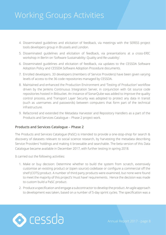- 4. Disseminated guidelines and elicitation of feedback, via meetings with the SERISS project tools developers group in Brussels and London.
- 5. Disseminated guidelines and elicitation of feedback, via presentations at a cross-ERIC workshop in Berlin on 'Software Sustainability: Quality and Re-usability'.
- 6. Disseminated guidelines and elicitation of feedback, via updates to the CESSDA Software Adoption Policy and CESSDA Software Adoption Procedure documents.
- 7. Enrolled developers. 33 developers (members of Service Providers) have been given varying levels of access to the 36 code repositories managed by CESSDA.
- 8. Maintained and enhanced the Production Environment and 'Testing of Production' workflow driven by the Jenkins Continuous Integration Server, in conjunction with Git source code repositories hosted in Bitbucket. An instance of SonarQube was added to improve the quality control process, and Transport Layer Security was adopted to protect any data in transit (such as usernames and passwords) between computers that form part of the technical infrastructure.
- 9. Refactored and extended the Metadata Harvester and Repository Handlers as a part of the Products and Services Catalogue – Phase 2 project work.

#### **Products and Services Catalogue – Phase 2**

The Products and Services Catalogue (PaSC) is intended to provide a one-stop-shop for search & discovery of datasets relevant to social science research, by harvesting the metadata describing Service Providers' holdings and making it browsable and searchable. The beta version of this Data Catalogue became available in December 2017, with further testing in spring 2018.

It carried out the following activities:

- 1. Make or buy decision: Determine whether to build the system from scratch, extensively customise an existing product or (open source) codebase or configure a commercial off the shelf (COTS) product. A number of third party products were examined, but none were found to meet the majority of this project's 'must have' requirements. Hence the decision was made to custom build a PaSC product.
- 2. Produce a specification and engage a subcontractor to develop the product. An agile approach to development was taken, based on a number of 5-day sprint cycles. The specification was a

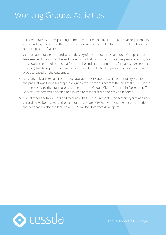set of wireframes (corresponding to the User Stories that fulfil the 'must have' requirements), and a backlog of issues (with a subset of issues) was assembled for each sprint, to deliver one or more product features.

- 3. Conduct acceptance tests and accept delivery of the product. The PaSC User Group conducted feature-specific testing at the end of each sprint, along with automated regression testing (via Jenkins and the Google Cloud Platform). At the end of the sprint cycle, formal User Acceptance Testing (UAT) took place and time was allowed to make final adjustments to version 1 of the product, based on the outcomes.
- 4. Make a stable and expansible product available to CESSDA's research community. Version 1 of the product was formally accepted (signed off as fit for purpose) at the end of the UAT phase and deployed to the staging environment of the Google Cloud Platform in December. The Service Providers were notified and invited to test it further and provide feedback.
- 5. Collect feedback from users and feed into Phase 3 requirements. The screen layouts and user controls have been used as the basis of the updated CESSDA ERIC User Experience Guide, so that feedback is also available to all CESSDA User Interface developers.

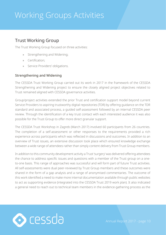### <span id="page-9-0"></span>Trust Working Group

The Trust Working Group focused on three activities:

- » Strengthening and Widening;
- » Certification;
- Service Providers' obligations.

#### **Strengthening and Widening**

The CESSDA Trust Working Group carried out its work in 2017 in the framework of the CESSDA Strengthening and Widening project to ensure the closely aligned project objectives related to Trust remained aligned with CESSDA governance activities.

Group/project activities extended the prior Trust and certification support model beyond current Service Providers to aspiring trustworthy digital repositories (TDR) by offering guidance on the TDR standard and associated process, a guided self-assessment followed by an internal CESSDA peer review. Through the identification of a key trust contact with each interested audience it was also possible for the Trust Group to offer more direct granular support.

The CESSDA Trust Workshop in Zagreb (March 2017) involved 60 participants from 26 countries. The completion of a self-assessment or other responses to the requirements provided a rich experience across participants which was reflected in discussions and outcomes. In addition to an overview of Trust issues, an extensive discussion took place which ensured knowledge exchange between a wide range of attendees rather than simply content delivery from Trust Group members.

In addition to this community development activity a Trust 'surgery' was delivered offering attendees the chance to address specific issues and questions with a member of the Trust group on a oneto-one basis. This range of approaches was successful and will form part of future Trust activities. All self-assessments were dual peer-reviewed by Trust Group members and these outcomes were shared in the form of a gap analysis and a range of anonymised commentaries. The outcome of this work identified a need to make more internal documentation available through public websites to act as supporting evidence (integrated into the CESSDA Trust 2019 work plan). It also indicated a general need to reach out to technical team members in the evidence-gathering process as the

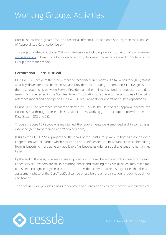CoreTrustSeal has a greater focus on technical infrastructure and data security than the Data Seal of Approval (see Certification below).

This project finished in October 2017 with deliverables including a [workshop report](http://cessdasaw.eu/content/uploads/2017/11/SAW-D4.1..pdf) and an overview [on certification](http://cessdasaw.eu/content/uploads/2017/11/SAW-D4.4..pdf) followed by a handover to a group following the more standard CESSDA Working Group governance model.

#### **Certification – CoreTrustSeal**

CESSDA ERIC considers the achievement of recognised Trustworthy Digital Repository (TDR) status as a key driver for trust between Service Providers contributing to common CESSDA goals and the trust relationship between Service Providers and their ministries, funders, depositors and data users. This is reflected in the Statutes Annex 2 obligation 8: "adhere to the principles of the OAIS reference model and any agreed CESSDA ERIC requirements for operating trusted repositories".

During 2017 the reference standards selected by CESSDA, the Data Seal of Approval become the CoreTrustSeal through a Research Data Alliance (RDA) working group in cooperation with the World Data System (ICSU-WDS).

Though the core TDR scope was maintained, the requirements were amended and, in some cases, extended (see Strengthening and Widening above).

Risks to the CESSDA SaW project and the goals of the Trust Group were mitigated through close cooperation with all parties which ensured CESSDA influenced the new standard while benefiting from its becoming more generally applicable (i.e. beyond its original social sciences and humanities base).

By the end of the year, nine seals were acquired, six more will be acquired within one or two years. Other Service Providers are still in a starting phase and attaining the CoreTrustSeal may take time. It has been recognised by the Trust Group and in wider archival and repository circles that the selfassessment phase of the CoreTrustSeal can be of use before an organisation is ready to apply for certification.

The CoreTrustSeal provides a basis for debate and discussion across the functions and hierarchical

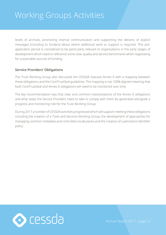levels of archives, promoting internal communication and supporting the delivery of explicit messages (including to funders) about where additional work or support is required. This preapplication period is considered to be particularly relevant to organisations in the early stages of development which need to reference some clear quality and service benchmarks when negotiating for sustainable sources of funding.

#### **Service Providers' Obligations**

The Trust Working Group also discussed the CESSDA Statutes Annex II with a mapping between these obligations and the CoreTrustSeal guidelines. The mapping is not 100% aligned meaning that both CoreTrustSeal and Annex II obligations will need to be monitored over time.

The key recommendation was that clear and common interpretations of the Annex II obligations and what steps the Service Providers need to take to comply with them be generated alongside a progress and monitoring role for the Trust Working Group.

During 2017 a number of CESSDA activities progressed which will support meeting these obligations including the creation of a Tools and Services Working Group, the development of approaches for managing common metadata and controlled vocabularies and the creation of a persistent identifier policy.

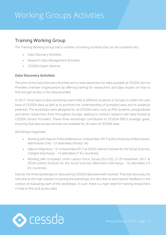### <span id="page-12-0"></span>Training Working Group

The Training Working Group had a number of training activities that can be clustered into:

- » Data Discovery Activities;
- » Research Data Management Activities;
- » CESSDA Expert Seminar.

#### **Data Discovery Activities**

The aims of the Data Discovery Activities are to raise awareness for data available at CESSDA Service Providers member organisations by offering training for researchers and data reusers on how to find and get access to the data provided.

In 2017, three face-to-face workshops were held at different locations in Europe to widen the user base of CESSDA data as well as to promote the understanding of (complex) data and its analytical potential. The workshops were designed for all CESSDA users, such as PhD students, postgraduate and senior researchers from throughout Europe, seeking to conduct research with data hosted at CESSDA Service Providers. These three workshops contributed to CESSDA ERIC's strategic goals, ensuring that data access services are available for all users of CESSDA data.

Workshops organised:

- » Working with Data on Political Behaviour, 6 November 2017 at the University of Manchester, Manchester (UK) – 27 attendees (mostly UK).
- » Data on Migration, 13-14 November2017 at GESIS-Leibniz Institute for the Social Sciences, Cologne (Germany) – 15 attendees (7 EU countries).
- » Working with European Union Labour Force Survey (EU-LFS), 27-29 November 2017 at GESIS-Leibniz Institute for the Social Sciences, Mannheim (Germany) – 16 attendees (13 EU countries).

Overall, the three workshops on discovering CESSDA data were well received. That was obviously not only due to the high request on joining the workshops, but also due to participants' feedback in the context of evaluating each of the workshops. In sum, there is a high need for training researchers in how to find and access data.

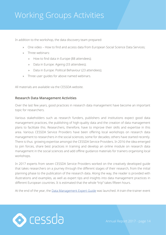In addition to the workshop, the data discovery team prepared:

- » One video How to find and access data from European Social Science Data Services;
- » Three webinars:
	- » How to find data in Europe (88 attendees);
	- » Data in Europe: Ageing (33 attendees);
	- » Data in Europe: Political Behaviour (23 attendees);
- » Three user guides for above named webinars.

All materials are available via the CESSDA website.

#### **Research Data Management Activities**

Over the last few years, good practices in research data management have become an important topic for researchers.

Various stakeholders such as research funders, publishers and institutions expect good data management practices, the publishing of high-quality data and the creation of data management plans to facilitate this. Researchers, therefore, have to improve their skills and expertise in this area. Various CESSDA Service Providers have been offering local workshops on research data management to researchers in the social sciences; some for decades; others have started recently. There is thus growing expertise amongst the CESSDA Service Providers. In 2016 the idea emerged to join forces, share best practices in training and develop an online module on research data management in the social sciences and add offline guidance materials for trainers organising local workshops.

In 2017 experts from seven CESSDA Service Providers worked on the creatively developed guide that takes researchers on a journey through the different stages of their research, from the initial planning phase to the publication of the research data. Along the way, the reader is provided with illustrations and examples, as well as expert tips and insights into data management practices in different European countries. It is estimated that the whole "trip" takes fifteen hours.

At the end of the year, the [Data Management Expert Guide](http://www.cessda.eu/DMGuide) was launched. A train-the-trainer event

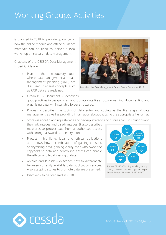is planned in 2018 to provide guidance on how the online module and offline guidance materials can be used to deliver a local workshop on research data management.

Chapters of the CESSDA Data Management Expert Guide are:

> » Plan – the introductory tour, where data management and data management planning (DMP) are discussed. General concepts such as FAIR data are explained.



Launch of the Data Management Expert Guide, December 2017.

- » Organise & Document describes good practices in designing an appropriate data file structure, naming, documenting and organising data within suitable folder structures.
- » Process describes the topics of data entry and coding as the first steps of data management, as well as providing information about choosing the appropriate file format.

» Store – is about planning a storage and backup strategy, and discuss backup solutions and

their advantages and disadvantages. It also describes measures to protect data from unauthorised access with strong passwords and encryption.

- » Protect highlights legal and ethical obligations and shows how a combination of gaining consent, anonymising data, gaining clarity over who owns the copyright to data and controlling access can enable the ethical and legal sharing of data.
- » Archive and Publish describes how to differentiate between currently available data publication services. Also, stepping stones to promote data are presented.
- » Discover to be prepared in 2018.



Source: CESSDA Training Working Group. (2017). CESSDA Data Management Expert Guide. Bergen, Norway: CESSDA ERIC.

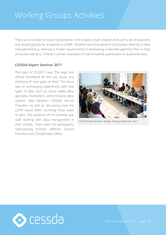There are a number of recurring elements in the chapters. Each chapter ends with a set of questions that would typically be answered in a DMP. Another recurring element is European diversity in data management (e.g. diversity in funder requirements in developing a Data Management Plan, in Data protection law etc.). Chapters contain examples of how to handle quantitative or qualitative data.

#### **CESSDA Expert Seminar 2017**

The topic of CES2017 was 'The legal and ethical framework for the use, reuse, and archiving of new types of data'. The focus was on exchanging experiences with new types of data, such as social media data, geo-data, biomarkers, administrative data, register data between CESSDA Service Providers as well as discussing how the GDPR would affect archiving these types of data. The audience of the seminar was staff working with data management in their archive. There were 23 participants, representing thirteen different Service Providers and CESSDA Main Office.



CESSDA Expert Seminar, Bergen, Norway, September 2017.

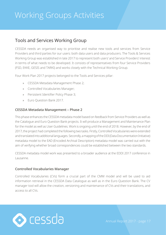### <span id="page-16-0"></span>Tools and Services Working Group

CESSDA needs an organised way to prioritise and realise new tools and services from Service Providers and third parties for our users: both data users and data producers. The Tools & Services Working Group was established in late 2017 to represent both users' and Service Providers' interest in terms of what needs to be developed. It consists of representatives from four Service Providers (FSD, EKKE, GESIS and TARKI) and works closely with the Technical Working Group.

Four Work Plan 2017 projects belonged to the Tools and Services pillar:

- » CESSDA Metadata Management Phase 2;
- » Controlled Vocabularies Manager;
- » Persistent Identifier Policy Phase 3;
- » Euro Question Bank 2017.

#### **CESSDA Metadata Management – Phase 2**

This phase enhances the CESSDA metadata model based on feedback from Service Providers as well as the Catalogue and Euro Question Bank projects. It will produce a Management and Maintenance Plan for the model as well as User Guidelines. Work is ongoing until the end of 2018. However, by the end of 2017, the project had completed the following two tasks. Firstly, Controlled Vocabularies were extended and translated into additional languages. Secondly, a mapping of the DDI (Data Documentation Initiative) metadata model to the EAD (Encoded Archival Description) metadata model was carried out with the aim of verifying whether broad correspondences could be established between the two standards.

CESSDA metadata model work was presented to a broader audience at the EDDI 2017 conference in Lausanne.

#### **Controlled Vocabularies Manager**

Controlled Vocabularies (CVs) form a crucial part of the CMM model and will be used to aid information retrieval in the CESSDA Data Catalogue as well as in the Euro Question Bank. The CV manager tool will allow the creation, versioning and maintenance of CVs and their translations, and access to all CVs.

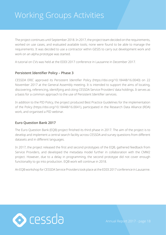The project continues until September 2018. In 2017, the project team decided on the requirements, worked on use cases, and evaluated available tools; none were found to be able to manage the requirements. It was decided to use a contractor within GESIS to carry out development work and work on an alpha prototype was started.

A tutorial on CVs was held at the EDDI 2017 conference in Lausanne in December 2017.

#### **Persistent Identifier Policy – Phase 3**

CESSDA ERIC approved its Persistent Identifier Policy (https://doi.org/10.18448/16.0040) on 22 November 2017 at the General Assembly meeting. It is intended to support the aims of locating, discovering, referencing, identifying and citing CESSDA Service Providers' data holdings. It serves as a basis for a common approach to the use of Persistent Identifier services.

In addition to the PID Policy, the project produced Best Practice Guidelines for the implementation of the Policy (https://doi.org/10.18448/16.0041), participated in the Research Data Alliance (RDA) work, and organised a PID webinar.

#### **Euro Question Bank 2017**

The Euro Question Bank (EQB) project finished its third phase in 2017. The aim of the project is to develop and implement a central search facility across CESSDA and survey questions from different datasets and in different languages.

In 2017, the project released the first and second prototypes of the EQB, gathered feedback from Service Providers, and developed the metadata model further in collaboration with the CMM2 project. However, due to a delay in programming, the second prototype did not cover enough functionality to go into production. EQB work will continue in 2018.

An EQB workshop for CESSDA Service Providers took place at the EDDI 2017 conference in Lausanne.

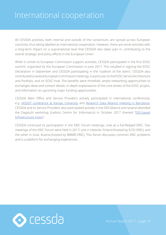<span id="page-18-0"></span>All CESSDA activities, both internal and outside of the consortium, are spread across European countries, thus being labelled as international cooperation. However, there are some activities with a long-term impact on a supranational level that CESSDA also takes part in, contributing to the overall strategic and policy efforts in the European Union.

When it comes to European Commission support activities, CESSDA participated in the first EOSC summit, organised by the European Commission in June 2017. This resulted in signing the EOSC Declaration in September and CESSDA participating in the 'coalition of the doers'. CESSDA also contributed to several European Commission meetings, in particular on the EOSC Service Architecture and Portfolio, and on EOSC-Hub. The benefits were threefold: ample networking opportunities to exchanges ideas and contact details, in-depth explanations of the core tenets of the EOSC project, and information on upcoming major funding opportunities.

CESSDA Main Office and Service Providers actively participated in international conferences, e.g. [IASSIST conference at Kansas University](http://iassist17.dept.ku.edu/) and [Research Data Alliance meeting in Barcelona](https://www.rd-alliance.org/plenaries/rda-ninth-plenary-meeting-barcelona). CESSDA and its Service Providers also participated actively in the DDI Alliance and several attended the Dagstuhl workshop (Leibniz Centre for Informatics) in October 2017 themed "DDI-based [Infrastructure Vision](https://www.dagstuhl.de/en/program/calendar/evhp/?semnr=17433)".

CESSDA continued its participation in the ERIC Forum meetings, now as a full-fledged ERIC. Two meetings of the ERIC Forum were held in 2017; one in Helsinki, Finland (hosted by ICOS ERIC), and the other in Graz, Austria (hosted by BBMRI ERIC). This forum discusses common ERIC problems and is a platform for exchanging experiences.

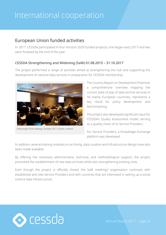### <span id="page-19-0"></span>European Union funded activities

In 2017, CESSDA participated in four Horizon 2020 funded projects; one began early 2017 and two were finalised by the end of the year.

#### **CESSDA Strengthening and Widening (SaW) 01.08.2015 – 31.10.2017**

The project performed a range of activities aimed at strengthening the hub and supporting the development of national data services in preparation for CESSDA membership.



SaW project final meeting, October 2017, Dublin, Ireland.

The Country Report on Development Potential, a comprehensive overview mapping the current state of play of data archive services in 44 mainly European countries, represents a key result for policy development and benchmarking.

The project also developed significant input for CESSDA's Quality Assessment model, serving as a quality check of its Service Providers.

For Service Providers, a Knowledge Exchange platform was developed.

In addition, several training modules on archiving, data curation and infrastructure design have also been made available.

By offering the necessary administrative, technical, and methodological support, the project promoted the establishment of new data archives while also strengthening existing ones.

Even though the project is officially closed, the SaW meetings' organisation continues with established and new Service Providers and with countries that are interested in setting up a social science data infrastructure.

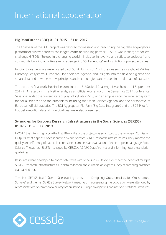#### **BigDataEurope (BDE) 01.01.2015 – 31.01.2017**

The final year of the BDE project was devoted to finalising and publishing the big data aggregators' platform for all seven societal challenges. As the networking partner, CESSDA was in charge of societal challenge 6 (SC6): "Europe in a changing world – inclusive, innovative and reflective societies", and community building activities aiming at engaging SSH scientists' and institutions' project activities.

In total, three webinars were hosted by CESSDA during 2017 with themes such as insight into Virtual Currency Ecosystems, European Open Science Agenda, and insights into the field of big data and smart data and how these new principles and technologies can be used in the domain of statistics.

The third and final workshop in the domain of the EU Societal Challenge 6 was held on 11 September 2017 in Amsterdam, The Netherlands, as an official workshop of the Semantics 2017 conference. Sessions tackled the current state of play of Big Data in SC6, with an emphasis on the wider ecosystem for social sciences and the humanities including the Open Science Agenda, and the perspective of European official statistics. The BDI Aggregator Platform (Big Data Integrator) and the SC6 Pilot (on budget execution data of municipalities) were also presented.

#### **Synergies for Europe's Research Infrastructures in the Social Sciences (SERISS) 01.07.2015 – 30.06.2019**

In 2017, the interim report on the first 18 months of the project was submitted to the European Comission. Outputs meet a specific need identified by one or more SERISS research infrastructures. They improve the quality and efficiency of data collection. One example is an evaluation of the European Language Social Science Thesaurus (ELLST) managed by CESSDA AS (UK Data Archive) and informing future translation guidelines.

Resources were developed to coordinate tasks within the survey life cycle or meet the needs of multiple SERISS Research Infrastructures. On data collection and curation, an expert survey of sampling practices was carried out.

The first "SERISS Train" face-to-face training course on "Designing Questionnaires for Cross-cultural Surveys" and the first SERISS Survey Network meeting on representing the population were attended by representatives of commercial survey organisations, European agencies and national statistical institutes.

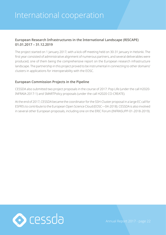#### **European Research Infrastructures in the International Landscape (RISCAPE) 01.01.2017 – 31.12.2019**

The project started on 1 January 2017, with a kick-off meeting held on 30-31 January in Helsinki. The first year consisted of administrative alignment of numerous partners, and several deliverables were produced, one of them being the comprehensive report on the European research infrastructure landscape. The partnership in this project proved to be instrumental in connecting to other domains' clusters in applications for interoperability with the EOSC.

#### **European Commission Projects in the Pipeline**

CESSDA also submitted two project proposals in the course of 2017: Pop Life (under the call H2020- INFRAIA-2017-1) and SMARTPolicy proposals (under the call H2020 CO-CREATE).

At the end of 2017, CESSDA became the coordinator for the SSH-Cluster proposal in a large EC call for ESFRI's to contribute to the European Open Science Cloud (EOSC—04-2018). CESSDA is also involved in several other European proposals, including one on the ERIC Forum (INFRASUPP-01-2018-2019).

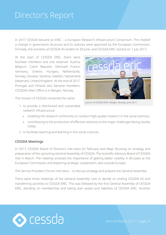<span id="page-22-0"></span>In 2017 CESSDA became an ERIC – a European Research Infrastructure Consortium. This implied a change in governance structure and its statutes were approved by the European Commission. Formally, the activities of CESSDA AS ended on 30 June, and CESSDA ERIC started on 1 July 2017.

At the start of CESSDA ERIC, there were fourteen members and one observer: Austria, Belgium, Czech Republic, Denmark France, Germany, Greece, Hungary, Netherlands, Norway, Slovakia, Slovenia, Sweden, Switzerland (observer), United Kingdom. At the end of 2017, Portugal and Finland also became members. CESSDA's Main Office is in Bergen, Norway.



Launch of CESSDA ERIC, Bergen, Norway, June 2017.

- The mission of CESSDA remained the same:
	- 1. to provide a distributed and sustainable research infrastructure
		- » enabling the research community to conduct high-quality research in the social sciences;
		- » contributing to the production of effective solutions to the major challenges facing society today;
	- 2. to facilitate teaching and learning in the social sciences.

#### **CESSDA Meetings**

In 2017, CESSDA Board of Directors met twice (in February and May), focusing on strategy and preparation of the upcoming General Assembly of CESSDA. The Scientific Advisory Board of CESSDA met in March. The meeting stressed the importance of getting better visibility in Brussels at the European Commission and exploring strategic cooperation, also outside Europe.

The Service Providers' Forum met twice – to discuss strategy and prepare the General Assembly.

There were three meetings of the General Assembly: one to decide on ending CESSDA AS and transferring activities to CESSDA ERIC. This was followed by the first General Assembly of CESSDA ERIC, deciding on membership and taking over assets and liabilities of CESSDA ERIC. Another

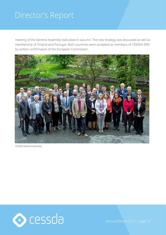meeting of the General Assembly took place in autumn. The new strategy was discussed as well as membership of Finland and Portugal. Both countries were accepted as members of CESSDA ERIC by written confirmation of the European Commission.



CESSDA General Assembly

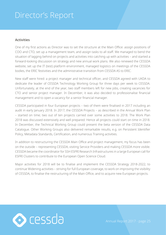#### **Activities**

One of my first actions as Director was to set the structure at the Main Office: assign positions of COO and CTO, set up a management team, and assign tasks to all staff. We managed to bend the situation of lagging behind on projects and activities into catching up with activities – and started a forward-looking discussion on strategy and new annual work plans. We also renewed the CESSDA website, set up the IT (test) platform environment, managed logistics on meetings of the CESSDA bodies, the ERIC festivities and the administrative transition from CESSDA AS to ERIC.

New staff were hired: a project manager and technical officer, and CESSDA agreed with UKDA to dedicate the leader of CESSDA Technology Working Group for three days per week to CESSDA. Unfortunately, at the end of the year, two staff members left for new jobs, creating vacancies for CTO and senior project manager. In December, it was also decided to professionalise financial management and to open a vacancy for a senior financial manager.

CESSDA participated in four European projects – two of them were finalised in 2017 including an audit in early January 2018. In 2017, the CESSDA Projects – as described in the Annual Work Plan – started on time; two out of ten projects carried over some activities to 2018. The Work Plan 2018 was discussed extensively and well prepared. Hence all projects could start on time in 2018. In December, the Technical Working Group could present the beta version of the CESSDA Data Catalogue. Other Working Groups also delivered remarkable results, e.g. on Persistent Identifier Policy, Metadata Standards, Certification, and numerous Training activities.

In addition to restructuring the CESSDA Main Office and project management, my focus has been on the outside – representing CESSDA, visiting Service Providers and making CESSDA more visible. CESSDA became the coordinator for SSH ESFRI Research Infrastructures in a large European call for ESFRI Clusters to contribute to the European Open Science Cloud.

Major activities for 2018 will be to finalise and implement the CESSDA Strategy 2018-2022, to continue Widening activities – striving for full European coverage, to work on improving the visibility of CESSDA, to finalise the restructuring of the Main Office, and to acquire new European projects.

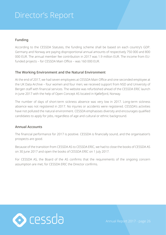#### **Funding**

According to the CESSDA Statutes, the funding scheme shall be based on each country's GDP. Germany and Norway are paying disproportional annual amounts of respectively 750 000 and 800 000 EUR. The annual member fee contribution in 2017 was 1.9 million EUR. The income from EUfunded projects – for CESSDA Main Office – was 160 000 EUR.

#### **The Working Environment and the Natural Environment**

At the end of 2017, we had seven employees at CESSDA Main Office and one seconded employee at the UK Data Archive – four women and four men; we received support from NSD and University of Bergen staff with financial services. The website was refurbished ahead of the CESSDA ERIC launch in June 2017 with the help of Open Concept AS located in Kjøllefjord, Norway.

The number of days of short-term sickness absence was very low in 2017. Long-term sickness absence was not registered in 2017. No injuries or accidents were registered. CESSDA's activities have not polluted the natural environment. CESSDA emphasises diversity and encourages qualified candidates to apply for jobs, regardless of age and cultural or ethnic background.

#### **Annual Accounts**

The financial performance for 2017 is positive. CESSDA is financially sound, and the organisation's prospects are good.

Because of the transition from CESSDA AS to CESSDA ERIC, we had to close the books of CESSDA AS on 30 June 2017 and open the books of CESSDA ERIC on 1 July 2017.

For CESSDA AS, the Board of the AS confirms that the requirements of the ongoing concern assumption are met; for CESSDA ERIC the Director confirms.

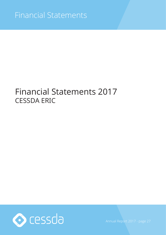### <span id="page-26-0"></span>Financial Statements 2017 CESSDA ERIC

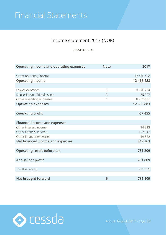### <span id="page-27-0"></span>Income statement 2017 (NOK)

#### **CESSDA ERIC**

| Operating income and operating expenses | <b>Note</b>    | 2017          |
|-----------------------------------------|----------------|---------------|
|                                         |                |               |
| Other operating income                  |                | 12 466 428    |
| <b>Operating income</b>                 |                | 12 466 428    |
|                                         |                |               |
| Payroll expenses                        | 1              | 3 546 794     |
| Depreciation of fixed assets            | $\overline{2}$ | 35 207        |
| Other operating expenses                | 1              | 8 9 5 1 8 8 3 |
| <b>Operating expenses</b>               |                | 12 533 883    |
|                                         |                |               |
| <b>Operating profit</b>                 |                | $-67455$      |
|                                         |                |               |
| <b>Financial income and expenses</b>    |                |               |
| Other interest income                   |                | 14813         |
| Other financial income                  |                | 853 813       |
| Other financial expenses                |                | 19 3 6 2      |
| Net financial income and expenses       |                | 849 263       |
|                                         |                |               |
| Operating result before tax             |                | 781 809       |
|                                         |                |               |
| Annual net profit                       |                | 781 809       |
|                                         |                |               |
| To other equity                         |                | 781 809       |
|                                         |                |               |
| Net brought forward                     | 6              | 781809        |

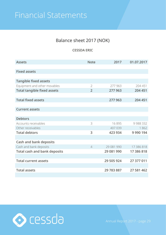### Balance sheet 2017 (NOK)

**CESSDA ERIC**

<span id="page-28-0"></span>

| <b>Assets</b>                       | <b>Note</b>    | 2017       | 01.07.2017  |
|-------------------------------------|----------------|------------|-------------|
|                                     |                |            |             |
| <b>Fixed assets</b>                 |                |            |             |
|                                     |                |            |             |
| <b>Tangible fixed assets</b>        |                |            |             |
| Equipment and other movables        | $\overline{2}$ | 277 963    | 204 451     |
| <b>Total tangible fixed assets</b>  | $\overline{2}$ | 277 963    | 204 451     |
|                                     |                |            |             |
| <b>Total fixed assets</b>           |                | 277 963    | 204 451     |
|                                     |                |            |             |
| <b>Current assets</b>               |                |            |             |
|                                     |                |            |             |
| <b>Debtors</b>                      |                |            |             |
| Accounts receivables                | 3              | 16895      | 9988332     |
| Other receivables                   |                | 407 039    | 1862        |
| <b>Total debtors</b>                | 3              | 423 934    | 9 9 9 1 9 4 |
|                                     |                |            |             |
| <b>Cash and bank deposits</b>       |                |            |             |
| Cash and bank deposits              | $\overline{4}$ | 29 081 990 | 17 386 818  |
| <b>Total cash and bank deposits</b> |                | 29 081 990 | 17 386 818  |
|                                     |                |            |             |
| <b>Total current assets</b>         |                | 29 505 924 | 27 377 011  |
|                                     |                |            |             |
| <b>Total assets</b>                 |                | 29 783 887 | 27 581 462  |
|                                     |                |            |             |

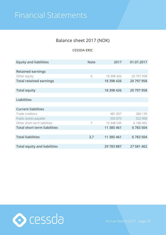### Balance sheet 2017 (NOK)

#### **CESSDA ERIC**

| <b>Equity and liabilities</b>       | <b>Note</b> | 2017       | 01.07.2017 |
|-------------------------------------|-------------|------------|------------|
|                                     |             |            |            |
| <b>Retained earnings</b>            |             |            |            |
| Other equity                        | 6           | 18 398 426 | 20 797 958 |
| <b>Total retained earnings</b>      |             | 18 398 426 | 20 797 958 |
|                                     |             |            |            |
| <b>Total equity</b>                 |             | 18 398 426 | 20 797 958 |
|                                     |             |            |            |
| <b>Liabilities</b>                  |             |            |            |
|                                     |             |            |            |
| <b>Current liabilities</b>          |             |            |            |
| Trade creditors                     |             | 481 837    | 280 139    |
| Public duties payable               |             | 555 075    | 322 900    |
| Other short term liabilities        | 7           | 10 348 549 | 6 180 465  |
| <b>Total short term liabilities</b> |             | 11 385 461 | 6783504    |
|                                     |             |            |            |
| <b>Total liabilities</b>            | 3,7         | 11 385 461 | 6783504    |
|                                     |             |            |            |
| <b>Total equity and liabilities</b> |             | 29 783 887 | 27 581 462 |

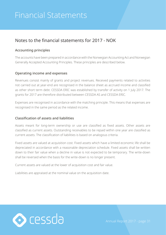### <span id="page-30-0"></span>Notes to the financial statements for 2017 - NOK

#### **Accounting principles**

The accounts have been prepared in accordance with the Norwegian Accounting Act and Norwegian Generally Accepted Accounting Principles. These principles are described below.

#### **Operating income and expenses**

Revenues consist mainly of grants and project revenues. Received payments related to activities not carried out at year-end are recognised in the balance sheet as accrued income and classified as other short term debt. CESSDA ERIC was established by transfer of activity on 1 July 2017. The grants for 2017 are therefore distributed between CESSDA AS and CESSDA ERIC.

Expenses are recognised in accordance with the matching principle. This means that expenses are recognised in the same period as the related income.

#### **Classification of assets and liabilities**

Assets meant for long-term ownership or use are classified as fixed assets. Other assets are classified as current assets. Outstanding receivables to be repaid within one year are classified as current assets. The classification of liabilities is based on analogous criteria.

Fixed assets are valued at acquisition cost. Fixed assets which have a limited economic life shall be depreciated in accordance with a reasonable depreciation schedule. Fixed assets shall be written down to their fair value when a decline in value is not expected to be temporary. The write-down shall be reversed when the basis for the write-down is no longer present.

Current assets are valued at the lower of acquisition cost and fair value.

Liabilities are appraised at the nominal value on the acquisition date.

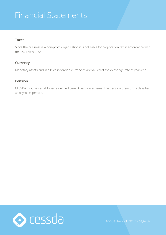#### **Taxes**

Since the business is a non-profit organisation it is not liable for corporation tax in accordance with the Tax Law  $§$  2-32.

#### **Currency**

Monetary assets and liabilities in foreign currencies are valued at the exchange rate at year-end.

#### **Pension**

CESSDA ERIC has established a defined benefit pension scheme. The pension premium is classified as payroll expenses.

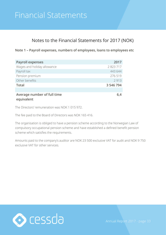### Notes to the Financial Statements for 2017 (NOK)

**Note 1 – Payroll expenses, numbers of employees, loans to employees etc**

| <b>Payroll expenses</b>                   | 2017      |
|-------------------------------------------|-----------|
| Wages and holiday allowance               | 2 823 717 |
| Payroll tax                               | 443 644   |
| Pension premium                           | 276 519   |
| Other benefits                            | 2913      |
| <b>Total</b>                              | 3 546 794 |
|                                           |           |
| Average number of full time<br>equivalent | 6,4       |

The Directors' remuneration was NOK 1 015 972.

The fee paid to the Board of Directors was NOK 165 416.

The organisation is obliged to have a pension scheme according to the Norwegian Law of compulsory occupational pension scheme and have established a defined benefit pension scheme which satisfies the requirements.

Amounts paid to the company's auditor are NOK 23 500 exclusive VAT for audit and NOK 9 750 exclusive VAT for other services.

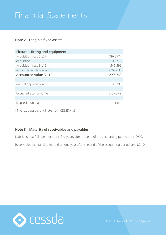#### **Note 2 - Tangible fixed assets**

| <b>Fixtures, fitting and equipment</b> |           |
|----------------------------------------|-----------|
| Acquisition cost 01.07                 | 436 877*  |
| Acquistion                             | 108 719   |
| Acquisition cost 31.12                 | 545 596   |
| Accumulated depreciation               | $-267633$ |
| <b>Accounted value 31.12</b>           | 277 963   |
|                                        |           |
| Annual depreciation                    | 35 207    |
|                                        |           |
| Expected economic life                 | 3-5 years |
|                                        |           |
| Depreciation plan                      | linear    |

\*The fixed assets originate from CESSDA AS

#### **Note 3 – Maturity of receivables and payables**

Liabilities that fall due more than five years after the end of the accounting period are NOK 0.

Receivables that fall due more than one year after the end of the accounting period are NOK 0.

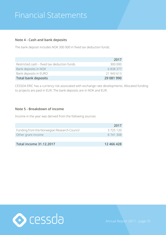#### **Note 4 - Cash and bank deposits**

The bank deposit includes NOK 300 000 in fixed tax deduction funds.

|                                             | 2017       |
|---------------------------------------------|------------|
| Restricted cash – fixed tax deduction funds | 300 000    |
| Bank deposits in NOK                        | 6838377    |
| Bank deposits in EURO                       | 21 943 613 |
| <b>Total bank deposits</b>                  | 29 081 990 |

CESSDA ERIC has a currency risk associated with exchange rate developments. Allocated funding to projects are paid in EUR. The bank deposits are in NOK and EUR.

#### **Note 5 - Breakdown of income**

Income in the year was derived from the following sources:

|                                             | 2017       |
|---------------------------------------------|------------|
| Funding from the Norwegian Research Council | 3725120    |
| Other grant income                          | 8 741 308  |
|                                             |            |
| Total income 31.12.2017                     | 12 466 428 |

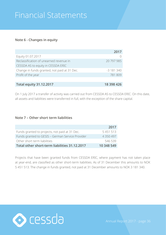#### **Note 6 - Changes in equity**

|                                              | 2017       |
|----------------------------------------------|------------|
| Equity 01.07.2017                            |            |
| Reclassification of unearned revenue in      | 20 797 985 |
| CESSDA AS to equity in CESSDA ERIC           |            |
| Change in funds granted, not paid at 31 Dec. | $-3181340$ |
| Profit of the year                           | 781 809    |
|                                              |            |
| <b>Total equity 31.12.2017</b>               | 18 398 426 |

On 1 July 2017 a transfer of activity was carried out from CESSDA AS to CESSDA ERIC. On this date, all assets and liabilities were transferred in full, with the exception of the share capital.

#### **Note 7 – Other short term liabilities**

|                                                  | 2017          |
|--------------------------------------------------|---------------|
| Funds granted to projects, not paid at 31 Dec.   | 5 4 5 1 5 1 3 |
| Funds granted to GESIS - German Service Provider | 4 350 497     |
| Other short term liabilities                     | 546 539       |
| Total other short-term liabilities 31.12.2017    | 10 348 549    |

Projects that have been granted funds from CESSDA ERIC, where payment has not taken place at year-end, are classified as other short-term liabilities. As of 31 December this amounts to NOK 5 451 513. The change in funds granted, not paid at 31 December amounts to NOK 3 181 340.

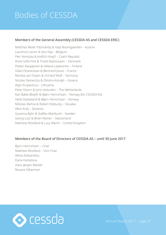# <span id="page-36-0"></span>Bodies of CESSDA

#### **Members of the General Assembly (CESSDA AS and CESSDA ERIC)**

Matthias Reiter-Pázmándy & Hajo Boomgaarden – Austria Laurence Lenoir & Aziz Naji – Belgium Petr Ventluka & Jindřich Krejčí – Czech Republic Anne Sofie Fink & Troels Rasmussen – Denmark Petteri Kauppinen & Helena Laaksonen – Finland Gilles Ohanessian & Bertrand Jouve – France Monika van Ooyen & Christof Wolf – Germany Nicolas Demertzis & Dimitra Kondyli – Greece Algis Krupavicius – Lithuania Peter Doorn & Joris Voskuilen – The Netherlands Kari Balke Øiseth & Bjørn Henrichsen – Norway (for CESSDA AS) Heidi Dybesland & Bjørn Henrichsen – Norway Miloslav Bahna & Robert Klobucky – Slovakia Albin Kralj – Slovenia Susanna Bylin & Staffan Marklund – Sweden Georg Lutz & Brian Kleiner – Switzerland Matthew Woollard & Lucy Martin – United Kingdom

#### **Members of the Board of Directors of CESSDA AS – until 30 June 2017**

Bjorn Henrichsen – Chair Matthew Woollard – Vice Chair Alexia Katsanidou Dana Hamplova Hans Jørgen Marker Roxane Silberman

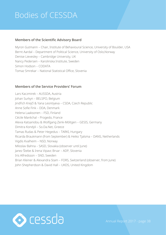# Bodies of CESSDA

#### **Members of the Scientific Advisory Board**

Myron Gutmann – Chair, Institute of Behavioural Science, University of Boulder, USA Bernt Aardal – Department of Political Science, University of Oslo,Norway Denise Lievesley – Cambridge University, UK Nancy Pedersen – Karolinska Institute, Sweden Simon Hodson – CODATA Tomaz Smrekar – National Statistical Office, Slovenia

#### **Members of the Service Providers' Forum**

Lars Kaczmirek – AUSSDA, Austria Johan Surkyn – BELSPO, Belgium Jindřich Krejčí & Yana Leontiyeva – CSDA, Czech Republic Anne Sofie Fink – DDA, Denmark Helena Laaksonen – FSD, Finland Cécile Maréchal – Progedo, France Alexia Katsanidou & Wolfgang Zenk-Möltgen – GESIS, Germany Dimitra Kondyli – So.Da.Net, Greece Tamas Rudas & Peter Hegedus – TARKI, Hungary Ricarda Braukmann (from September) & Heiko Tjalsma – DANS, Netherlands Vigdis Kvalheim – NSD, Norway Miloslav Bahna – SASD, Slovakia (observer until June) Janez Štebe & Irena Vipavc Brvar – ADP, Slovenia Iris Alfredsson – SND, Sweden Brian Kleiner & Alexandra Stam – FORS, Switzerland (observer, from June) John Shepherdson & David Hall – UKDS, United Kingdom

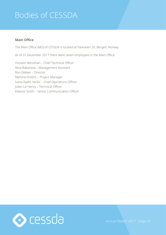# Bodies of CESSDA

#### **Main Office**

The Main Office (MO) of CESSDA is located at Parkveien 20, Bergen, Norway.

As of 31 December 2017 there were seven employees in the Main Office:

Hossein Abroshan – Chief Technical Officer Nina Bakanova – Management Assistant Ron Dekker – Director Martina Draščić – Project Manager Ivana Ilijašić Veršić – Chief Operations Officer Julien Le Hericy – Technical Officer Eleanor Smith – Senior Communication Officer